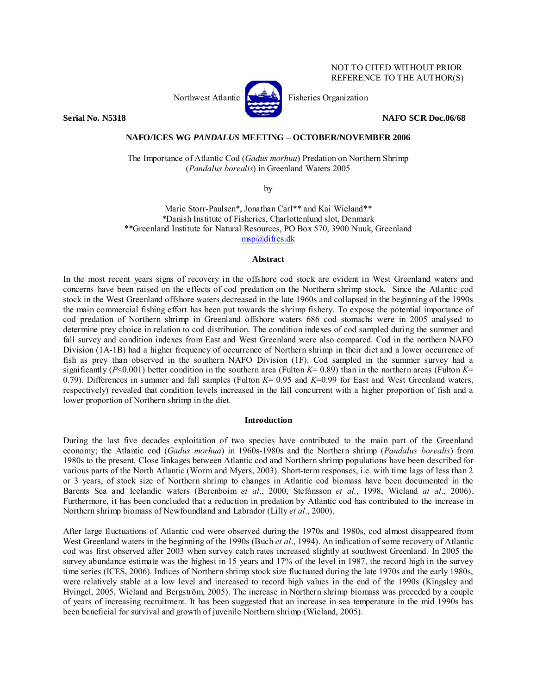# NOT TO CITED WITHOUT PRIOR REFERENCE TO THE AUTHOR(S)



Northwest Atlantic  $\left[\begin{matrix} 1 & 1 \\ 1 & 1 \end{matrix}\right]$  Fisheries Organization

**Serial No. N5318 NAFO SCR Doc.06/68** 

# **NAFO/ICES WG** *PANDALUS* **MEETING – OCTOBER/NOVEMBER 2006**

The Importance of Atlantic Cod (*Gadus morhua*) Predation on Northern Shrimp (*Pandalus borealis*) in Greenland Waters 2005

by

Marie Storr-Paulsen\*, Jonathan Carl\*\* and Kai Wieland\*\* \*Danish Institute of Fisheries, Charlottenlund slot, Denmark \*\*Greenland Institute for Natural Resources, PO Box 570, 3900 Nuuk, Greenland msp@difres.dk

## **Abstract**

In the most recent years signs of recovery in the offshore cod stock are evident in West Greenland waters and concerns have been raised on the effects of cod predation on the Northern shrimp stock. Since the Atlantic cod stock in the West Greenland offshore waters decreased in the late 1960s and collapsed in the beginning of the 1990s the main commercial fishing effort has been put towards the shrimp fishery. To expose the potential importance of cod predation of Northern shrimp in Greenland offshore waters 686 cod stomachs were in 2005 analysed to determine prey choice in relation to cod distribution. The condition indexes of cod sampled during the summer and fall survey and condition indexes from East and West Greenland were also compared. Cod in the northern NAFO Division (1A-1B) had a higher frequency of occurrence of Northern shrimp in their diet and a lower occurrence of fish as prey than observed in the southern NAFO Division (1F). Cod sampled in the summer survey had a significantly ( $P<0.001$ ) better condition in the southern area (Fulton  $K=0.89$ ) than in the northern areas (Fulton  $K=$ 0.79). Differences in summer and fall samples (Fulton  $K = 0.95$  and  $K = 0.99$  for East and West Greenland waters, respectively) revealed that condition levels increased in the fall concurrent with a higher proportion of fish and a lower proportion of Northern shrimp in the diet.

### **Introduction**

During the last five decades exploitation of two species have contributed to the main part of the Greenland economy; the Atlantic cod (*Gadus morhua*) in 1960s-1980s and the Northern shrimp (*Pandalus borealis*) from 1980s to the present. Close linkages between Atlantic cod and Northern shrimp populations have been described for various parts of the North Atlantic (Worm and Myers, 2003). Short-term responses, i.e. with time lags of less than 2 or 3 years, of stock size of Northern shrimp to changes in Atlantic cod biomass have been documented in the Barents Sea and Icelandic waters (Berenboim *et al*., 2000, Stefánsson *et al.*, 1998, Wieland *at al*., 2006). Furthermore, it has been concluded that a reduction in predation by Atlantic cod has contributed to the increase in Northern shrimp biomass of Newfoundland and Labrador (Lilly *et al*., 2000).

After large fluctuations of Atlantic cod were observed during the 1970s and 1980s, cod almost disappeared from West Greenland waters in the beginning of the 1990s (Buch *et al*., 1994). An indication of some recovery of Atlantic cod was first observed after 2003 when survey catch rates increased slightly at southwest Greenland. In 2005 the survey abundance estimate was the highest in 15 years and 17% of the level in 1987, the record high in the survey time series (ICES, 2006). Indices of Northern shrimp stock size fluctuated during the late 1970s and the early 1980s, were relatively stable at a low level and increased to record high values in the end of the 1990s (Kingsley and Hvingel, 2005, Wieland and Bergström, 2005). The increase in Northern shrimp biomass was preceded by a couple of years of increasing recruitment. It has been suggested that an increase in sea temperature in the mid 1990s has been beneficial for survival and growth of juvenile Northern shrimp (Wieland, 2005).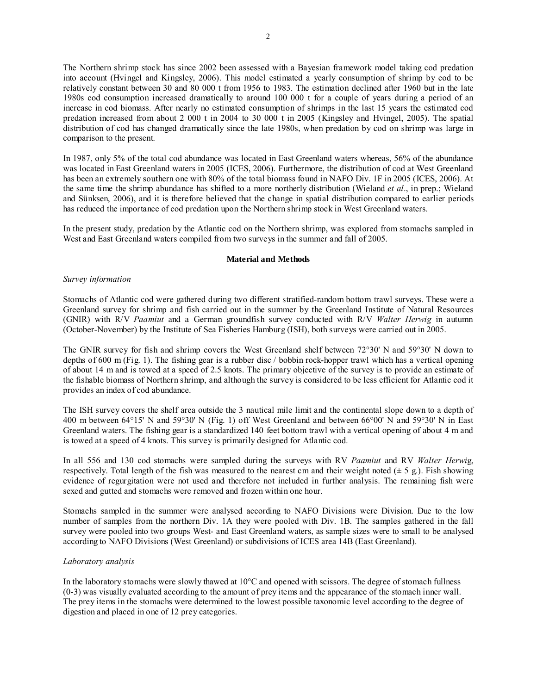The Northern shrimp stock has since 2002 been assessed with a Bayesian framework model taking cod predation into account (Hvingel and Kingsley, 2006). This model estimated a yearly consumption of shrimp by cod to be relatively constant between 30 and 80 000 t from 1956 to 1983. The estimation declined after 1960 but in the late 1980s cod consumption increased dramatically to around 100 000 t for a couple of years during a period of an increase in cod biomass. After nearly no estimated consumption of shrimps in the last 15 years the estimated cod predation increased from about 2 000 t in 2004 to 30 000 t in 2005 (Kingsley and Hvingel, 2005). The spatial distribution of cod has changed dramatically since the late 1980s, when predation by cod on shrimp was large in comparison to the present.

In 1987, only 5% of the total cod abundance was located in East Greenland waters whereas, 56% of the abundance was located in East Greenland waters in 2005 (ICES, 2006). Furthermore, the distribution of cod at West Greenland has been an extremely southern one with 80% of the total biomass found in NAFO Div. 1F in 2005 (ICES, 2006). At the same time the shrimp abundance has shifted to a more northerly distribution (Wieland *et al*., in prep.; Wieland and Sünksen, 2006), and it is therefore believed that the change in spatial distribution compared to earlier periods has reduced the importance of cod predation upon the Northern shrimp stock in West Greenland waters.

In the present study, predation by the Atlantic cod on the Northern shrimp, was explored from stomachs sampled in West and East Greenland waters compiled from two surveys in the summer and fall of 2005.

# **Material and Methods**

# *Survey information*

Stomachs of Atlantic cod were gathered during two different stratified-random bottom trawl surveys. These were a Greenland survey for shrimp and fish carried out in the summer by the Greenland Institute of Natural Resources (GNIR) with R/V *Paamiut* and a German groundfish survey conducted with R/V *Walter Herwig* in autumn (October-November) by the Institute of Sea Fisheries Hamburg (ISH), both surveys were carried out in 2005.

The GNIR survey for fish and shrimp covers the West Greenland shelf between 72°30' N and 59°30' N down to depths of 600 m (Fig. 1). The fishing gear is a rubber disc / bobbin rock-hopper trawl which has a vertical opening of about 14 m and is towed at a speed of 2.5 knots. The primary objective of the survey is to provide an estimate of the fishable biomass of Northern shrimp, and although the survey is considered to be less efficient for Atlantic cod it provides an index of cod abundance.

The ISH survey covers the shelf area outside the 3 nautical mile limit and the continental slope down to a depth of 400 m between 64°15' N and 59°30' N (Fig. 1) off West Greenland and between 66°00' N and 59°30' N in East Greenland waters. The fishing gear is a standardized 140 feet bottom trawl with a vertical opening of about 4 m and is towed at a speed of 4 knots. This survey is primarily designed for Atlantic cod.

In all 556 and 130 cod stomachs were sampled during the surveys with RV *Paamiut* and RV *Walter Herwi*g, respectively. Total length of the fish was measured to the nearest cm and their weight noted ( $\pm$  5 g.). Fish showing evidence of regurgitation were not used and therefore not included in further analysis. The remaining fish were sexed and gutted and stomachs were removed and frozen within one hour.

Stomachs sampled in the summer were analysed according to NAFO Divisions were Division. Due to the low number of samples from the northern Div. 1A they were pooled with Div. 1B. The samples gathered in the fall survey were pooled into two groups West- and East Greenland waters, as sample sizes were to small to be analysed according to NAFO Divisions (West Greenland) or subdivisions of ICES area 14B (East Greenland).

# *Laboratory analysis*

In the laboratory stomachs were slowly thawed at  $10^{\circ}$ C and opened with scissors. The degree of stomach fullness (0-3) was visually evaluated according to the amount of prey items and the appearance of the stomach inner wall. The prey items in the stomachs were determined to the lowest possible taxonomic level according to the degree of digestion and placed in one of 12 prey categories.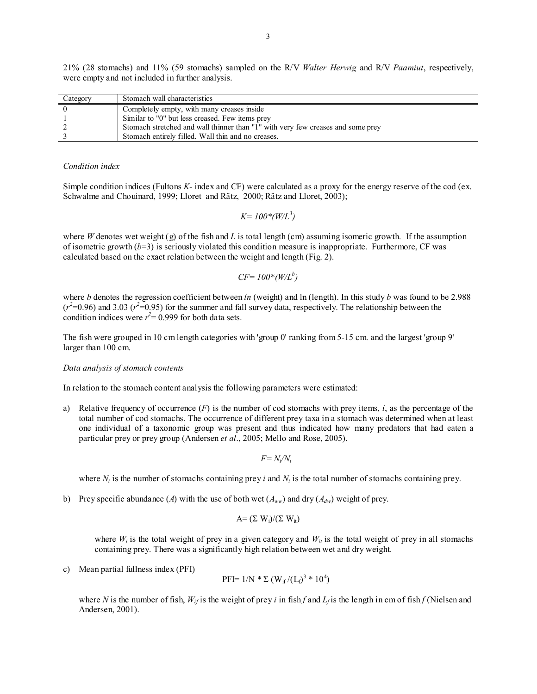21% (28 stomachs) and 11% (59 stomachs) sampled on the R/V *Walter Herwig* and R/V *Paamiut*, respectively, were empty and not included in further analysis.

| Category | Stomach wall characteristics                                                    |
|----------|---------------------------------------------------------------------------------|
|          | Completely empty, with many creases inside                                      |
|          | Similar to "0" but less creased. Few items prey                                 |
|          | Stomach stretched and wall thinner than "1" with very few creases and some prey |
|          | Stomach entirely filled. Wall thin and no creases.                              |

### *Condition index*

Simple condition indices (Fultons *K*- index and CF) were calculated as a proxy for the energy reserve of the cod (ex. Schwalme and Chouinard, 1999; Lloret and Rätz, 2000; Rätz and Lloret, 2003);

$$
K = 100*(W/L^3)
$$

where *W* denotes wet weight (g) of the fish and *L* is total length (cm) assuming isomeric growth. If the assumption of isometric growth  $(b=3)$  is seriously violated this condition measure is inappropriate. Furthermore, CF was calculated based on the exact relation between the weight and length (Fig. 2).

$$
CF = 100*(W/L^b)
$$

where *b* denotes the regression coefficient between *ln* (weight) and ln (length). In this study *b* was found to be 2.988  $(r^2=0.96)$  and 3.03  $(r^2=0.95)$  for the summer and fall survey data, respectively. The relationship between the condition indices were  $r^2 = 0.999$  for both data sets.

The fish were grouped in 10 cm length categories with 'group 0' ranking from 5-15 cm. and the largest 'group 9' larger than 100 cm.

### *Data analysis of stomach contents*

In relation to the stomach content analysis the following parameters were estimated:

a) Relative frequency of occurrence (*F*) is the number of cod stomachs with prey items, *i*, as the percentage of the total number of cod stomachs. The occurrence of different prey taxa in a stomach was determined when at least one individual of a taxonomic group was present and thus indicated how many predators that had eaten a particular prey or prey group (Andersen *et al*., 2005; Mello and Rose, 2005).

 $F=N_i/N_t$ 

where  $N_i$  is the number of stomachs containing prey *i* and  $N_t$  is the total number of stomachs containing prey.

b) Prey specific abundance (*A*) with the use of both wet ( $A_{ww}$ ) and dry ( $A_{dw}$ ) weight of prey.

$$
A = (\Sigma W_i)/(\Sigma W_{it})
$$

where  $W_i$  is the total weight of prey in a given category and  $W_{ii}$  is the total weight of prey in all stomachs containing prey. There was a significantly high relation between wet and dry weight.

c) Mean partial fullness index (PFI)

PFI= 1/N \* Σ (Wif /(Lf) 3 \* 10<sup>4</sup> )

where *N* is the number of fish,  $W_{if}$  is the weight of prey *i* in fish *f* and  $L_f$  is the length in cm of fish *f* (Nielsen and Andersen, 2001).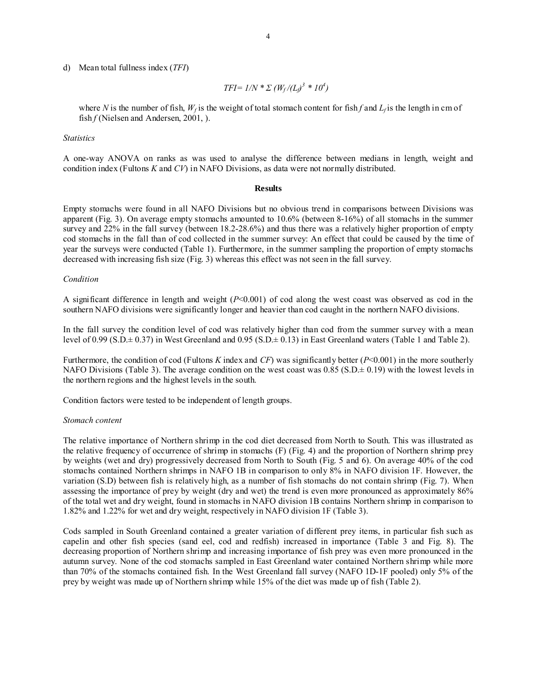d) Mean total fullness index (*TFI*)

 $TFI = 1/N * \sum (W_f / (L_f)^3 * 10^4)$ 

where *N* is the number of fish,  $W_f$  is the weight of total stomach content for fish f and  $L_f$  is the length in cm of fish *f* (Nielsen and Andersen, 2001, ).

*Statistics* 

A one-way ANOVA on ranks as was used to analyse the difference between medians in length, weight and condition index (Fultons *K* and *CV*) in NAFO Divisions, as data were not normally distributed.

## **Results**

Empty stomachs were found in all NAFO Divisions but no obvious trend in comparisons between Divisions was apparent (Fig. 3). On average empty stomachs amounted to 10.6% (between 8-16%) of all stomachs in the summer survey and 22% in the fall survey (between 18.2-28.6%) and thus there was a relatively higher proportion of empty cod stomachs in the fall than of cod collected in the summer survey: An effect that could be caused by the time of year the surveys were conducted (Table 1). Furthermore, in the summer sampling the proportion of empty stomachs decreased with increasing fish size (Fig. 3) whereas this effect was not seen in the fall survey.

### *Condition*

A significant difference in length and weight (*P*<0.001) of cod along the west coast was observed as cod in the southern NAFO divisions were significantly longer and heavier than cod caught in the northern NAFO divisions.

In the fall survey the condition level of cod was relatively higher than cod from the summer survey with a mean level of 0.99 (S.D. $\pm$  0.37) in West Greenland and 0.95 (S.D. $\pm$  0.13) in East Greenland waters (Table 1 and Table 2).

Furthermore, the condition of cod (Fultons *K* index and *CF*) was significantly better (*P*<0.001) in the more southerly NAFO Divisions (Table 3). The average condition on the west coast was  $0.85$  (S.D. $\pm$  0.19) with the lowest levels in the northern regions and the highest levels in the south.

Condition factors were tested to be independent of length groups.

### *Stomach content*

The relative importance of Northern shrimp in the cod diet decreased from North to South. This was illustrated as the relative frequency of occurrence of shrimp in stomachs (F) (Fig. 4) and the proportion of Northern shrimp prey by weights (wet and dry) progressively decreased from North to South (Fig. 5 and 6). On average 40% of the cod stomachs contained Northern shrimps in NAFO 1B in comparison to only 8% in NAFO division 1F. However, the variation (S.D) between fish is relatively high, as a number of fish stomachs do not contain shrimp (Fig. 7). When assessing the importance of prey by weight (dry and wet) the trend is even more pronounced as approximately 86% of the total wet and dry weight, found in stomachs in NAFO division 1B contains Northern shrimp in comparison to 1.82% and 1.22% for wet and dry weight, respectively in NAFO division 1F (Table 3).

Cods sampled in South Greenland contained a greater variation of different prey items, in particular fish such as capelin and other fish species (sand eel, cod and redfish) increased in importance (Table 3 and Fig. 8). The decreasing proportion of Northern shrimp and increasing importance of fish prey was even more pronounced in the autumn survey. None of the cod stomachs sampled in East Greenland water contained Northern shrimp while more than 70% of the stomachs contained fish. In the West Greenland fall survey (NAFO 1D-1F pooled) only 5% of the prey by weight was made up of Northern shrimp while 15% of the diet was made up of fish (Table 2).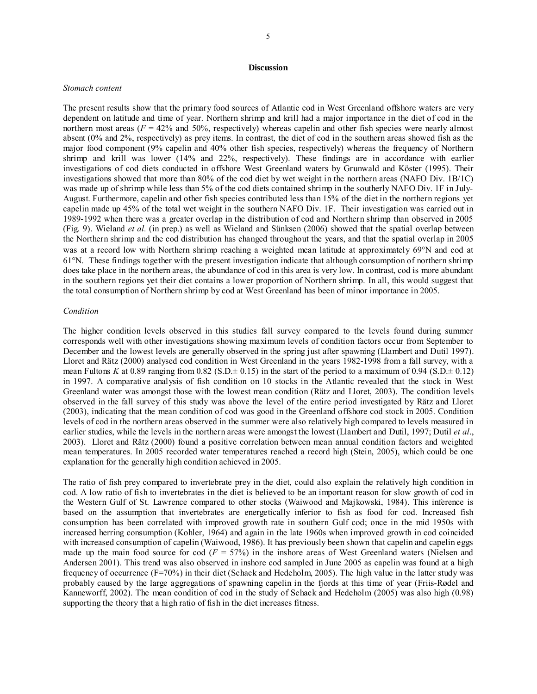### **Discussion**

#### *Stomach content*

The present results show that the primary food sources of Atlantic cod in West Greenland offshore waters are very dependent on latitude and time of year. Northern shrimp and krill had a major importance in the diet of cod in the northern most areas  $(F = 42\%$  and 50%, respectively) whereas capelin and other fish species were nearly almost absent (0% and 2%, respectively) as prey items. In contrast, the diet of cod in the southern areas showed fish as the major food component (9% capelin and 40% other fish species, respectively) whereas the frequency of Northern shrimp and krill was lower (14% and 22%, respectively). These findings are in accordance with earlier investigations of cod diets conducted in offshore West Greenland waters by Grunwald and Köster (1995). Their investigations showed that more than 80% of the cod diet by wet weight in the northern areas (NAFO Div. 1B/1C) was made up of shrimp while less than 5% of the cod diets contained shrimp in the southerly NAFO Div. 1F in July-August. Furthermore, capelin and other fish species contributed less than 15% of the diet in the northern regions yet capelin made up 45% of the total wet weight in the southern NAFO Div. 1F. Their investigation was carried out in 1989-1992 when there was a greater overlap in the distribution of cod and Northern shrimp than observed in 2005 (Fig. 9). Wieland *et al.* (in prep.) as well as Wieland and Sünksen (2006) showed that the spatial overlap between the Northern shrimp and the cod distribution has changed throughout the years, and that the spatial overlap in 2005 was at a record low with Northern shrimp reaching a weighted mean latitude at approximately 69°N and cod at 61°N. These findings together with the present investigation indicate that although consumption of northern shrimp does take place in the northern areas, the abundance of cod in this area is very low. In contrast, cod is more abundant in the southern regions yet their diet contains a lower proportion of Northern shrimp. In all, this would suggest that the total consumption of Northern shrimp by cod at West Greenland has been of minor importance in 2005.

### *Condition*

The higher condition levels observed in this studies fall survey compared to the levels found during summer corresponds well with other investigations showing maximum levels of condition factors occur from September to December and the lowest levels are generally observed in the spring just after spawning (Llambert and Dutil 1997). Lloret and Rätz (2000) analysed cod condition in West Greenland in the years 1982-1998 from a fall survey, with a mean Fultons *K* at 0.89 ranging from 0.82 (S.D. $\pm$  0.15) in the start of the period to a maximum of 0.94 (S.D. $\pm$  0.12) in 1997. A comparative analysis of fish condition on 10 stocks in the Atlantic revealed that the stock in West Greenland water was amongst those with the lowest mean condition (Rätz and Lloret, 2003). The condition levels observed in the fall survey of this study was above the level of the entire period investigated by Rätz and Lloret (2003), indicating that the mean condition of cod was good in the Greenland offshore cod stock in 2005. Condition levels of cod in the northern areas observed in the summer were also relatively high compared to levels measured in earlier studies, while the levels in the northern areas were amongst the lowest (Llambert and Dutil, 1997; Dutil *et al*., 2003). Lloret and Rätz (2000) found a positive correlation between mean annual condition factors and weighted mean temperatures. In 2005 recorded water temperatures reached a record high (Stein, 2005), which could be one explanation for the generally high condition achieved in 2005.

The ratio of fish prey compared to invertebrate prey in the diet, could also explain the relatively high condition in cod. A low ratio of fish to invertebrates in the diet is believed to be an important reason for slow growth of cod in the Western Gulf of St. Lawrence compared to other stocks (Waiwood and Majkowski, 1984). This inference is based on the assumption that invertebrates are energetically inferior to fish as food for cod. Increased fish consumption has been correlated with improved growth rate in southern Gulf cod; once in the mid 1950s with increased herring consumption (Kohler, 1964) and again in the late 1960s when improved growth in cod coincided with increased consumption of capelin (Waiwood, 1986). It has previously been shown that capelin and capelin eggs made up the main food source for cod  $(F = 57%)$  in the inshore areas of West Greenland waters (Nielsen and Andersen 2001). This trend was also observed in inshore cod sampled in June 2005 as capelin was found at a high frequency of occurrence (F=70%) in their diet (Schack and Hedeholm, 2005). The high value in the latter study was probably caused by the large aggregations of spawning capelin in the fjords at this time of year (Friis-Rødel and Kanneworff, 2002). The mean condition of cod in the study of Schack and Hedeholm (2005) was also high (0.98) supporting the theory that a high ratio of fish in the diet increases fitness.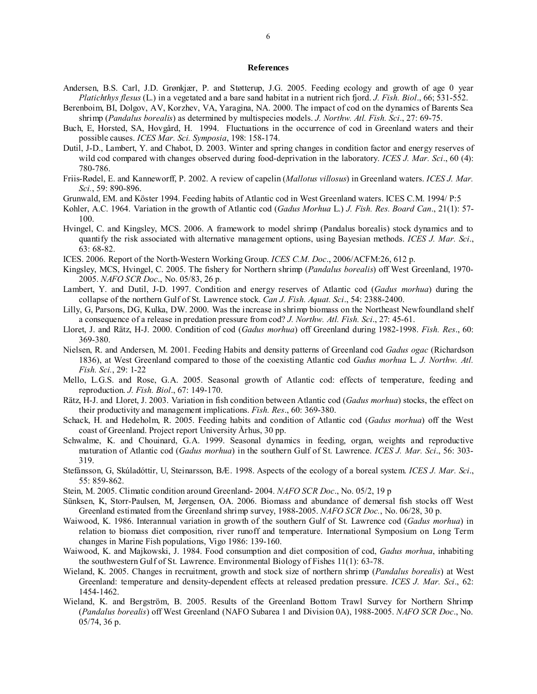### **References**

- Andersen, B.S. Carl, J.D. Grønkjær, P. and Støtterup, J.G. 2005. Feeding ecology and growth of age 0 year *Platichthys flesus* (L.) in a vegetated and a bare sand habitat in a nutrient rich fjord. *J. Fish. Biol*., 66; 531-552.
- Berenboim, BI, Dolgov, AV, Korzhev, VA, Yaragina, NA. 2000. The impact of cod on the dynamics of Barents Sea shrimp (*Pandalus borealis*) as determined by multispecies models. *J. Northw. Atl. Fish. Sci*., 27: 69-75.
- Buch, E, Horsted, SA, Hovgård, H. 1994. Fluctuations in the occurrence of cod in Greenland waters and their possible causes. *ICES Mar. Sci. Symposia*, 198: 158-174.
- Dutil, J-D., Lambert, Y. and Chabot, D. 2003. Winter and spring changes in condition factor and energy reserves of wild cod compared with changes observed during food-deprivation in the laboratory. *ICES J. Mar. Sci*., 60 (4): 780-786.
- Friis-Rødel, E. and Kanneworff, P. 2002. A review of capelin (*Mallotus villosus*) in Greenland waters. *ICES J. Mar. Sci.*, 59: 890-896.
- Grunwald, EM. and Köster 1994. Feeding habits of Atlantic cod in West Greenland waters. ICES C.M. 1994/ P:5
- Kohler, A.C. 1964. Variation in the growth of Atlantic cod (*Gadus Morhua* L.) *J. Fish. Res. Board Can*., 21(1): 57- 100.
- Hvingel, C. and Kingsley, MCS. 2006. A framework to model shrimp (Pandalus borealis) stock dynamics and to quantify the risk associated with alternative management options, using Bayesian methods. *ICES J. Mar. Sci*., 63: 68-82.
- ICES. 2006. Report of the North-Western Working Group. *ICES C.M. Doc*., 2006/ACFM:26, 612 p.
- Kingsley, MCS, Hvingel, C. 2005. The fishery for Northern shrimp (*Pandalus borealis*) off West Greenland, 1970- 2005. *NAFO SCR Doc*., No. 05/83, 26 p.
- Lambert, Y. and Dutil, J-D. 1997. Condition and energy reserves of Atlantic cod (*Gadus morhua*) during the collapse of the northern Gulf of St. Lawrence stock. *Can J. Fish. Aquat. Sci*., 54: 2388-2400.
- Lilly, G, Parsons, DG, Kulka, DW. 2000. Was the increase in shrimp biomass on the Northeast Newfoundland shelf a consequence of a release in predation pressure from cod? *J. Northw. Atl. Fish. Sci*., 27: 45-61.
- Lloret, J. and Rätz, H-J. 2000. Condition of cod (*Gadus morhua*) off Greenland during 1982-1998. *Fish. Res*., 60: 369-380.
- Nielsen, R. and Andersen, M. 2001. Feeding Habits and density patterns of Greenland cod *Gadus ogac* (Richardson 1836), at West Greenland compared to those of the coexisting Atlantic cod *Gadus morhua* L. *J. Northw. Atl. Fish. Sci.*, 29: 1-22
- Mello, L.G.S. and Rose, G.A. 2005. Seasonal growth of Atlantic cod: effects of temperature, feeding and reproduction. *J. Fish. Biol*., 67: 149-170.
- Rätz, H-J. and Lloret, J. 2003. Variation in fish condition between Atlantic cod (*Gadus morhua*) stocks, the effect on their productivity and management implications. *Fish. Res*., 60: 369-380.
- Schack, H. and Hedeholm, R. 2005. Feeding habits and condition of Atlantic cod (*Gadus morhua*) off the West coast of Greenland. Project report University Århus, 30 pp.
- Schwalme, K. and Chouinard, G.A. 1999. Seasonal dynamics in feeding, organ, weights and reproductive maturation of Atlantic cod (*Gadus morhua*) in the southern Gulf of St. Lawrence. *ICES J. Mar. Sci*., 56: 303- 319.
- Stefánsson, G, Skúladóttir, U, Steinarsson, BÆ. 1998. Aspects of the ecology of a boreal system. *ICES J. Mar. Sci*., 55: 859-862.
- Stein, M. 2005. Climatic condition around Greenland- 2004. *NAFO SCR Doc*., No. 05/2, 19 p
- Sünksen, K, Storr-Paulsen, M, Jørgensen, OA. 2006. Biomass and abundance of demersal fish stocks off West Greenland estimated from the Greenland shrimp survey, 1988-2005. *NAFO SCR Doc.*, No. 06/28, 30 p.
- Waiwood, K. 1986. Interannual variation in growth of the southern Gulf of St. Lawrence cod (*Gadus morhua*) in relation to biomass diet composition, river runoff and temperature. International Symposium on Long Term changes in Marine Fish populations, Vigo 1986: 139-160.
- Waiwood, K. and Majkowski, J. 1984. Food consumption and diet composition of cod, *Gadus morhua*, inhabiting the southwestern Gulf of St. Lawrence. Environmental Biology of Fishes 11(1): 63-78.
- Wieland, K. 2005. Changes in recruitment, growth and stock size of northern shrimp (*Pandalus borealis*) at West Greenland: temperature and density-dependent effects at released predation pressure. *ICES J. Mar. Sci*., 62: 1454-1462.
- Wieland, K. and Bergström, B. 2005. Results of the Greenland Bottom Trawl Survey for Northern Shrimp (*Pandalus borealis*) off West Greenland (NAFO Subarea 1 and Division 0A), 1988-2005. *NAFO SCR Doc*., No. 05/74, 36 p.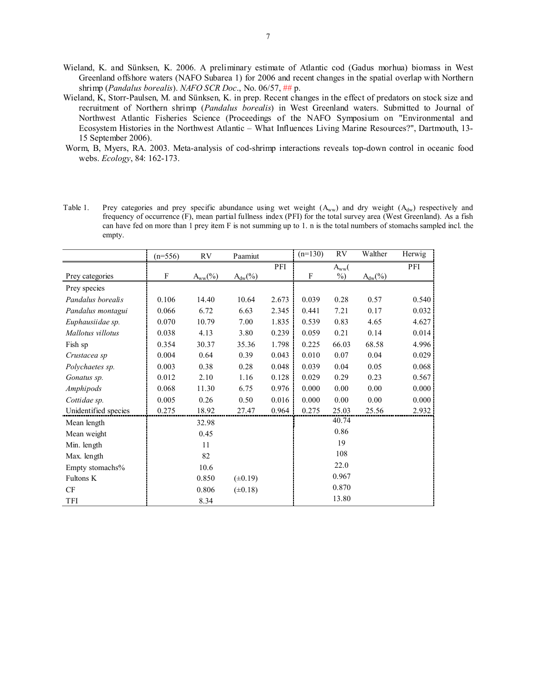- Wieland, K. and Sünksen, K. 2006. A preliminary estimate of Atlantic cod (Gadus morhua) biomass in West Greenland offshore waters (NAFO Subarea 1) for 2006 and recent changes in the spatial overlap with Northern shrimp (*Pandalus borealis*). *NAFO SCR Doc*., No. 06/57, ## p.
- Wieland, K, Storr-Paulsen, M. and Sünksen, K. in prep. Recent changes in the effect of predators on stock size and recruitment of Northern shrimp (*Pandalus borealis*) in West Greenland waters. Submitted to Journal of Northwest Atlantic Fisheries Science (Proceedings of the NAFO Symposium on "Environmental and Ecosystem Histories in the Northwest Atlantic – What Influences Living Marine Resources?", Dartmouth, 13- 15 September 2006).
- Worm, B, Myers, RA. 2003. Meta-analysis of cod-shrimp interactions reveals top-down control in oceanic food webs. *Ecology*, 84: 162-173.
- Table 1. Prey categories and prey specific abundance using wet weight  $(A_{ww})$  and dry weight  $(A_{dw})$  respectively and frequency of occurrence (F), mean partial fullness index (PFI) for the total survey area (West Greenland). As a fish can have fed on more than 1 prey item F is not summing up to 1. n is the total numbers of stomachs sampled incl. the empty.

|                      | $(n=556)$ | RV         | Paamiut      |       | $(n=130)$ | RV            | Walther    | Herwig |
|----------------------|-----------|------------|--------------|-------|-----------|---------------|------------|--------|
|                      |           |            |              | PFI   |           | $A_{ww}$ (    |            | PFI    |
| Prey categories      | F         | $A_{ww}(%$ | $A_{dw}(%$   |       | F         | $\frac{0}{0}$ | $A_{dw}(%$ |        |
| Prey species         |           |            |              |       |           |               |            |        |
| Pandalus borealis    | 0.106     | 14.40      | 10.64        | 2.673 | 0.039     | 0.28          | 0.57       | 0.540  |
| Pandalus montagui    | 0.066     | 6.72       | 6.63         | 2.345 | 0.441     | 7.21          | 0.17       | 0.032  |
| Euphausiidae sp.     | 0.070     | 10.79      | 7.00         | 1.835 | 0.539     | 0.83          | 4.65       | 4.627  |
| Mallotus villotus    | 0.038     | 4.13       | 3.80         | 0.239 | 0.059     | 0.21          | 0.14       | 0.014  |
| Fish sp              | 0.354     | 30.37      | 35.36        | 1.798 | 0.225     | 66.03         | 68.58      | 4.996  |
| Crustacea sp         | 0.004     | 0.64       | 0.39         | 0.043 | 0.010     | 0.07          | 0.04       | 0.029  |
| Polychaetes sp.      | 0.003     | 0.38       | 0.28         | 0.048 | 0.039     | 0.04          | 0.05       | 0.068  |
| Gonatus sp.          | 0.012     | 2.10       | 1.16         | 0.128 | 0.029     | 0.29          | 0.23       | 0.567  |
| Amphipods            | 0.068     | 11.30      | 6.75         | 0.976 | 0.000     | 0.00          | 0.00       | 0.000  |
| Cottidae sp.         | 0.005     | 0.26       | 0.50         | 0.016 | 0.000     | 0.00          | 0.00       | 0.000  |
| Unidentified species | 0.275     | 18.92      | 27.47        | 0.964 | 0.275     | 25.03         | 25.56      | 2.932  |
| Mean length          |           | 32.98      |              |       |           | 40.74         |            |        |
| Mean weight          |           | 0.45       |              |       |           | 0.86          |            |        |
| Min. length          |           | 11         |              |       |           | 19            |            |        |
| Max. length          |           | 82         |              |       |           | 108           |            |        |
| Empty stomachs%      |           | 10.6       |              |       |           | 22.0          |            |        |
| Fultons K            |           | 0.850      | $(\pm 0.19)$ |       |           | 0.967         |            |        |
| CF                   |           | 0.806      | $(\pm 0.18)$ |       |           | 0.870         |            |        |
| TFI                  |           | 8.34       |              |       |           | 13.80         |            |        |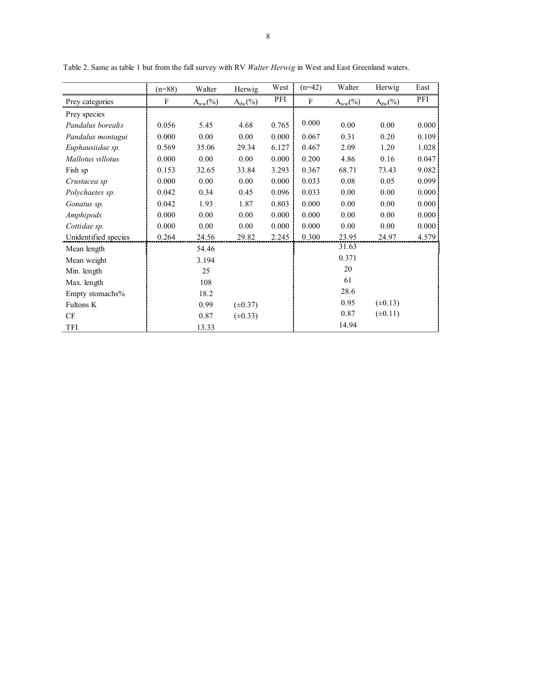|                      | $(n=88)$ | Walter       | Herwig       | West  | $(n=42)$ | Walter       | Herwig       | East  |
|----------------------|----------|--------------|--------------|-------|----------|--------------|--------------|-------|
| Prey categories      | F        | $A_{ww}(\%)$ | $A_{dw}(\%)$ | PFI   | F        | $A_{ww}(\%)$ | $A_{dw}(\%)$ | PFI   |
| Prey species         |          |              |              |       |          |              |              |       |
| Pandalus borealis    | 0.056    | 5.45         | 4.68         | 0.765 | 0.000    | 0.00         | 0.00         | 0.000 |
| Pandalus montagui    | 0.000    | 0.00         | 0.00         | 0.000 | 0.067    | 0.31         | 0.20         | 0.109 |
| Euphausiidae sp.     | 0.569    | 35.06        | 29.34        | 6.127 | 0.467    | 2.09         | 1.20         | 1.028 |
| Mallotus villotus    | 0.000    | 0.00         | 0.00         | 0.000 | 0.200    | 4.86         | 0.16         | 0.047 |
| Fish sp              | 0.153    | 32.65        | 33.84        | 3.293 | 0.367    | 68.71        | 73.43        | 9.082 |
| Crustacea sp         | 0.000    | 0.00         | 0.00         | 0.000 | 0.033    | 0.08         | 0.05         | 0.099 |
| Polychaetes sp.      | 0.042    | 0.34         | 0.45         | 0.096 | 0.033    | 0.00         | 0.00         | 0.000 |
| Gonatus sp.          | 0.042    | 1.93         | 1.87         | 0.803 | 0.000    | 0.00         | 0.00         | 0.000 |
| Amphipods            | 0.000    | 0.00         | 0.00         | 0.000 | 0.000    | 0.00         | 0.00         | 0.000 |
| Cottidae sp.         | 0.000    | 0.00         | 0.00         | 0.000 | 0.000    | 0.00         | 0.00         | 0.000 |
| Unidentified species | 0.264    | 24.56        | 29.82        | 2.245 | 0.300    | 23.95        | 24.97        | 4.579 |
| Mean length          |          | 54.46        |              |       |          | 31.63        |              |       |
| Mean weight          |          | 3.194        |              |       |          | 0.371        |              |       |
| Min. length          |          | 25           |              |       |          | 20           |              |       |
| Max. length          |          | 108          |              |       |          | 61           |              |       |
| Empty stomachs%      |          | 18.2         |              |       |          | 28.6         |              |       |
| Fultons K            |          | 0.99         | $(\pm 0.37)$ |       |          | 0.95         | $(\pm 0.13)$ |       |
| CF                   |          | 0.87         | $(\pm 0.33)$ |       |          | 0.87         | $(\pm 0.11)$ |       |
| TFI                  |          | 13.33        |              |       |          | 14.94        |              |       |

Table 2. Same as table 1 but from the fall survey with RV *Walter Herwig* in West and East Greenland waters.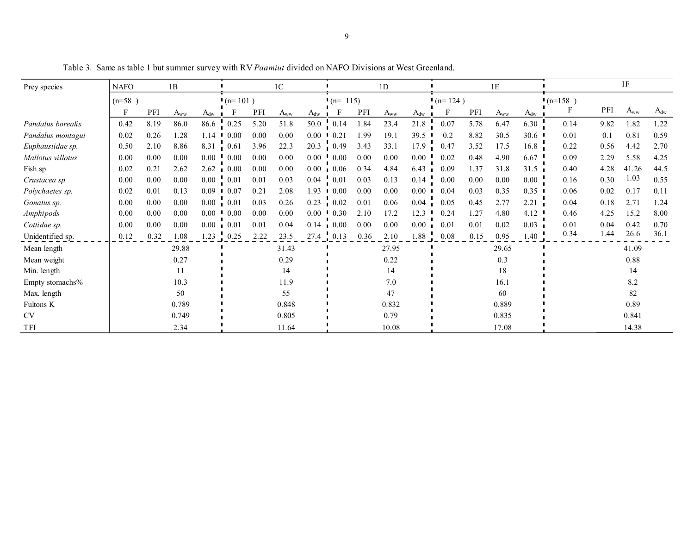| Prey species      | 1B<br><b>NAFO</b> |      |                                  |                      | 1 <sup>C</sup>     |      |          | 1 <sub>D</sub>       |                                     |      | 1E        |          |      |      | 1F                               |                      |      |      |          |          |
|-------------------|-------------------|------|----------------------------------|----------------------|--------------------|------|----------|----------------------|-------------------------------------|------|-----------|----------|------|------|----------------------------------|----------------------|------|------|----------|----------|
|                   | $(n=58)$          |      |                                  |                      | $(n=101)$          |      |          | $(n=115)$            |                                     |      | $(n=124)$ |          |      |      | $(n=158)$                        |                      |      |      |          |          |
|                   | F                 | PFI  | $A_{\underline{w}\underline{w}}$ | $A_{\underline{dw}}$ |                    | PFI  | $A_{ww}$ | $A_{\underline{dw}}$ | F                                   | PFI  | $A_{ww}$  | $A_{dw}$ |      | PFI  | $A_{\underline{w}\underline{w}}$ | $A_{\underline{dw}}$ |      | PFI  | $A_{ww}$ | $A_{dw}$ |
| Pandalus borealis | 0.42              | 8.19 | 86.0                             | 86.6                 | $\frac{1}{1}$ 0.25 | 5.20 | 51.8     |                      | $50.0 \t 0.14$                      | 1.84 | 23.4      | 21.8     | 0.07 | 5.78 | 6.47                             | 6.30                 | 0.14 | 9.82 | 1.82     | 1.22     |
| Pandalus montagui | 0.02              | 0.26 | 1.28                             | 1.14                 | 0.00               | 0.00 | 0.00     | 0.00                 | 0.21<br>$\mathbf{L}$                | 1.99 | 19.1      | 39.5     | 0.2  | 8.82 | 30.5                             | 30.6                 | 0.01 | 0.1  | 0.81     | 0.59     |
| Euphausiidae sp.  | 0.50              | 2.10 | 8.86                             | 8.31                 | $\frac{1}{2}$ 0.61 | 3.96 | 22.3     | 20.3                 | $\frac{1}{1}$ 0.49                  | 3.43 | 33.1      | 17.9     | 0.47 | 3.52 | 17.5                             | 16.8                 | 0.22 | 0.56 | 4.42     | 2.70     |
| Mallotus villotus | 0.00              | 0.00 | 0.00                             |                      | $0.00 \pm 0.00$    | 0.00 | 0.00     | 0.00                 | $^{1}0.00$                          | 0.00 | 0.00      | 0.00     | 0.02 | 0.48 | 4.90                             | 6.67                 | 0.09 | 2.29 | 5.58     | 4.25     |
| Fish sp           | 0.02              | 0.21 | 2.62                             | 2.62                 | 0.00               | 0.00 | 0.00     | 0.00                 | 0.06                                | 0.34 | 4.84      | 6.43     | 0.09 | 1.37 | 31.8                             | 31.5                 | 0.40 | 4.28 | 41.26    | 44.5     |
| Crustacea sp      | 0.00              | 0.00 | 0.00                             | $0.00 \t 0.01$       |                    | 0.01 | 0.03     |                      | $0.04\phantom{000}\phantom{00}0.01$ | 0.03 | 0.13      | 0.14     | 0.00 | 0.00 | 0.00                             | $0.00\,$             | 0.16 | 0.30 | 1.03     | 0.55     |
| Polychaetes sp.   | 0.02              | 0.01 | 0.13                             | 0.09                 | 0.07               | 0.21 | 2.08     | 1.93                 | 0.00                                | 0.00 | 0.00      | 0.00     | 0.04 | 0.03 | 0.35                             | 0.35                 | 0.06 | 0.02 | 0.17     | 0.11     |
| Gonatus sp.       | 0.00              | 0.00 | 0.00                             | 0.00                 | $\frac{1}{2}$ 0.01 | 0.03 | 0.26     | 0.23                 | $\frac{1}{2}$ 0.02                  | 0.01 | 0.06      | 0.04     | 0.05 | 0.45 | 2.77                             | 2.21                 | 0.04 | 0.18 | 2.71     | 1.24     |
| Amphipods         | 0.00              | 0.00 | 0.00                             | 0.00                 | 0.00               | 0.00 | 0.00     | 0.00                 | 0.30                                | 2.10 | 17.2      | 12.3     | 0.24 | 1.27 | 4.80                             | 4.12                 | 0.46 | 4.25 | 15.2     | 8.00     |
| Cottidae sp.      | 0.00              | 0.00 | 0.00                             | 0.00                 | $\frac{1}{2}$ 0.01 | 0.01 | 0.04     | 0.14                 | $\frac{1}{2}$ 0.00                  | 0.00 | 0.00      | 0.00     | 0.01 | 0.01 | 0.02                             | 0.03                 | 0.01 | 0.04 | 0.42     | 0.70     |
| Unidentified sp.  | 0.12              | 0.32 | 0.08                             | 1.23                 | 0.25               | 2.22 | 23.5     | 27.4                 | 0.13                                | 0.36 | 2.10      | 1.88     | 0.08 | 0.15 | 0.95                             | 1.40                 | 0.34 | 1.44 | 26.6     | 36.1     |
| Mean length       |                   |      | 29.88                            |                      |                    |      | 31.43    |                      |                                     |      | 27.95     |          |      |      | 29.65                            |                      |      |      | 41.09    |          |
| Mean weight       |                   |      | 0.27                             |                      |                    |      | 0.29     |                      |                                     |      | 0.22      |          |      |      | 0.3                              |                      |      |      | 0.88     |          |
| Min. length       |                   |      | 11                               |                      |                    |      | 14       |                      |                                     |      | 14        |          |      |      | 18                               |                      |      |      | 14       |          |
| Empty stomachs%   |                   |      | 10.3                             |                      |                    |      | 11.9     |                      |                                     |      | 7.0       |          |      |      | 16.1                             |                      |      |      | 8.2      |          |
| Max. length       |                   |      | 50                               |                      |                    |      | 55       |                      |                                     |      | 47        |          |      |      | 60                               |                      |      |      | 82       |          |
| Fultons K         |                   |      | 0.789                            |                      |                    |      | 0.848    |                      |                                     |      | 0.832     |          |      |      | 0.889                            |                      |      |      | 0.89     |          |
| <b>CV</b>         |                   |      | 0.749                            |                      |                    |      | 0.805    |                      |                                     |      | 0.79      |          |      |      | 0.835                            |                      |      |      | 0.841    |          |
| <b>TFI</b>        |                   |      | 2.34                             |                      |                    |      | 11.64    |                      |                                     |      | 10.08     |          |      |      | 17.08                            |                      |      |      | 14.38    |          |

Table 3. Same as table 1 but summer survey with RV *Paamiut* divided on NAFO Divisions at West Greenland.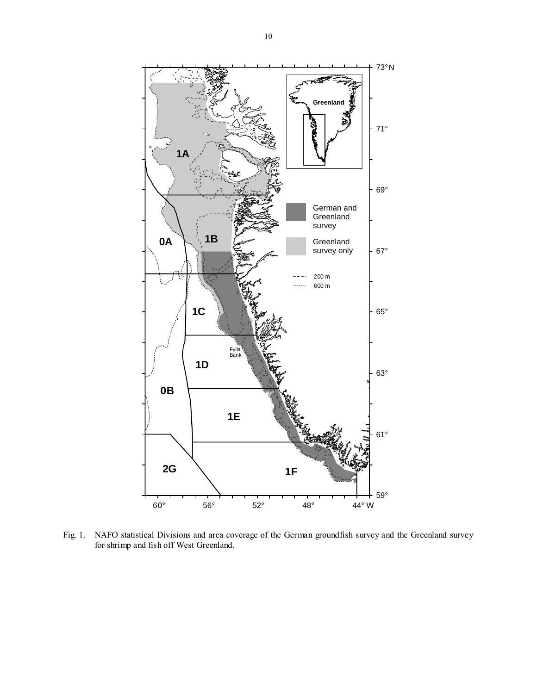

Fig. 1. NAFO statistical Divisions and area coverage of the German groundfish survey and the Greenland survey for shrimp and fish off West Greenland.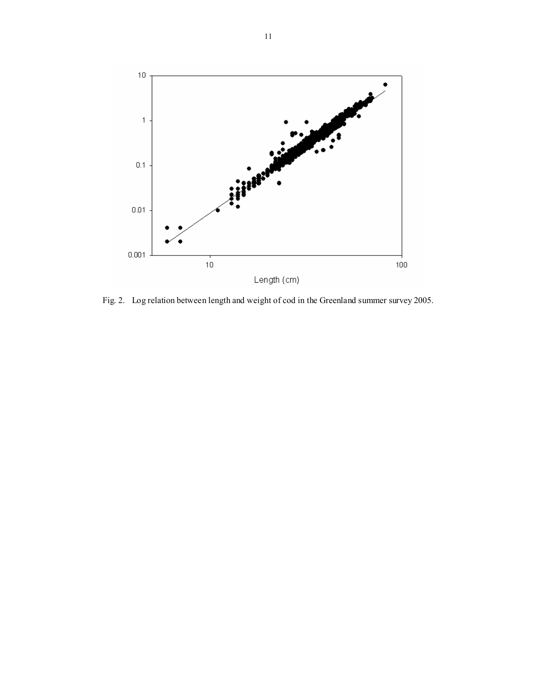

Fig. 2. Log relation between length and weight of cod in the Greenland summer survey 2005.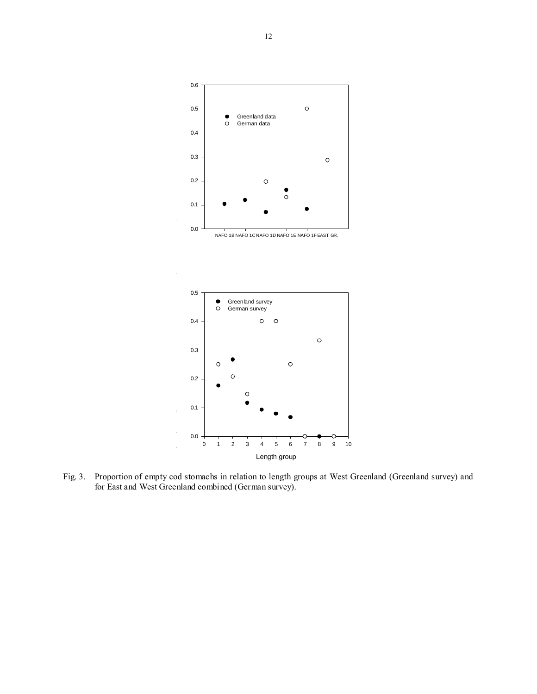



Fig. 3. Proportion of empty cod stomachs in relation to length groups at West Greenland (Greenland survey) and for East and West Greenland combined (German survey).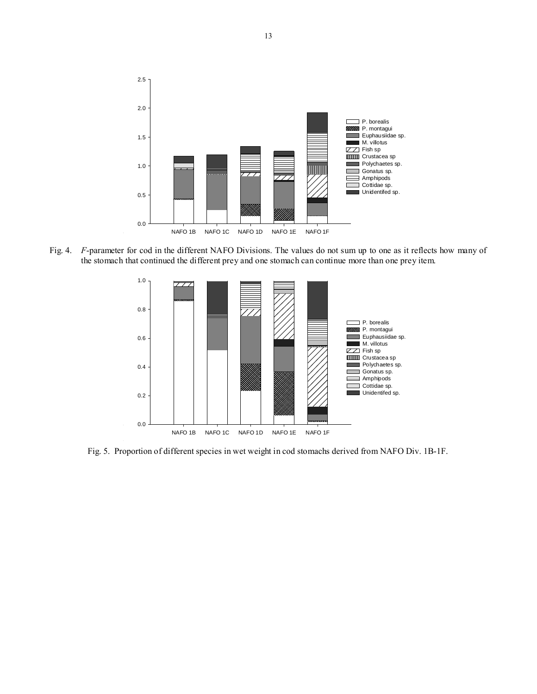

Fig. 4. *F*-parameter for cod in the different NAFO Divisions. The values do not sum up to one as it reflects how many of the stomach that continued the different prey and one stomach can continue more than one prey item.



Fig. 5. Proportion of different species in wet weight in cod stomachs derived from NAFO Div. 1B-1F.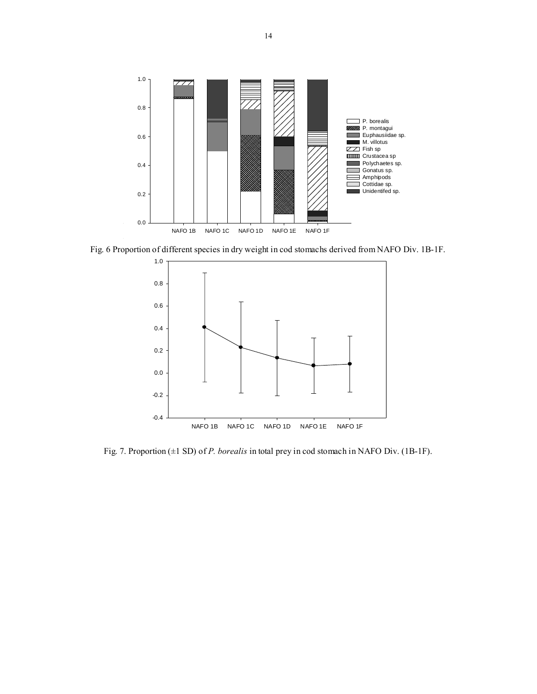

Fig. 6 Proportion of different species in dry weight in cod stomachs derived from NAFO Div. 1B-1F.



Fig. 7. Proportion (±1 SD) of *P. borealis* in total prey in cod stomach in NAFO Div. (1B-1F).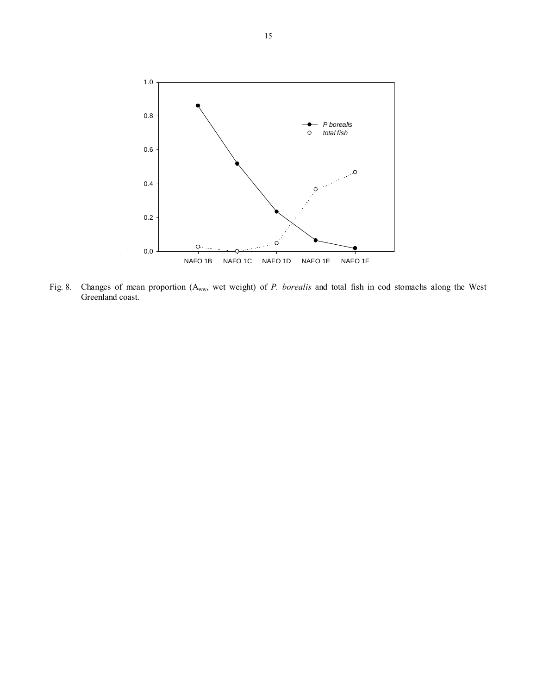

Fig. 8. Changes of mean proportion (Aww, wet weight) of *P. borealis* and total fish in cod stomachs along the West Greenland coast.